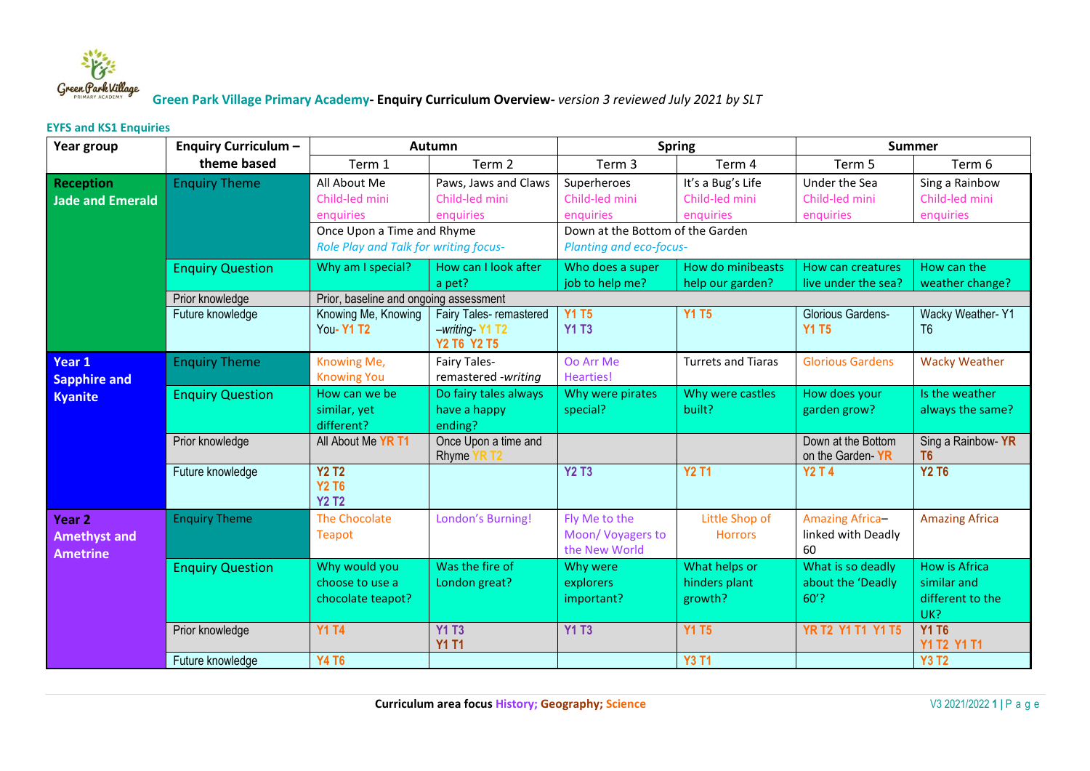

## **Green Park Village Primary Academy- Enquiry Curriculum Overview-** *version 3 reviewed July 2021 by SLT*

## **EYFS and KS1 Enquiries**

| Year group                                                  | <b>Enquiry Curriculum -</b> | Autumn                                                                                                                                                                    |                                                          | <b>Spring</b>                                                                                                                                                        |                                           | <b>Summer</b>                                      |                                                                |  |  |
|-------------------------------------------------------------|-----------------------------|---------------------------------------------------------------------------------------------------------------------------------------------------------------------------|----------------------------------------------------------|----------------------------------------------------------------------------------------------------------------------------------------------------------------------|-------------------------------------------|----------------------------------------------------|----------------------------------------------------------------|--|--|
|                                                             | theme based                 | Term 1                                                                                                                                                                    | Term <sub>2</sub>                                        | Term <sub>3</sub>                                                                                                                                                    | Term 4                                    | Term 5                                             | Term 6                                                         |  |  |
| <b>Reception</b><br>Jade and Emerald                        | <b>Enquiry Theme</b>        | All About Me<br>Paws, Jaws and Claws<br>Child-led mini<br>Child-led mini<br>enquiries<br>enquiries<br>Once Upon a Time and Rhyme<br>Role Play and Talk for writing focus- |                                                          | It's a Bug's Life<br>Superheroes<br>Child-led mini<br>Child-led mini<br>enquiries<br>enquiries<br>Down at the Bottom of the Garden<br><b>Planting and eco-focus-</b> |                                           | Under the Sea<br>Child-led mini<br>enquiries       | Sing a Rainbow<br>Child-led mini<br>enquiries                  |  |  |
|                                                             | <b>Enquiry Question</b>     | Why am I special?                                                                                                                                                         | How can I look after<br>a pet?                           | Who does a super<br>job to help me?                                                                                                                                  | How do minibeasts<br>help our garden?     | <b>How can creatures</b><br>live under the sea?    | How can the<br>weather change?                                 |  |  |
|                                                             | Prior knowledge             | Prior, baseline and ongoing assessment                                                                                                                                    |                                                          |                                                                                                                                                                      |                                           |                                                    |                                                                |  |  |
|                                                             | Future knowledge            | Knowing Me, Knowing<br>You-Y1 T2                                                                                                                                          | Fairy Tales- remastered<br>-writing-Y1 T2<br>Y2 T6 Y2 T5 | <b>Y1 T5</b><br><b>Y1 T3</b>                                                                                                                                         | <b>Y1 T5</b>                              | Glorious Gardens-<br><b>Y1 T5</b>                  | Wacky Weather-Y1<br>T <sub>6</sub>                             |  |  |
| Year 1<br><b>Sapphire and</b><br><b>Kyanite</b>             | <b>Enquiry Theme</b>        | Knowing Me,<br><b>Knowing You</b>                                                                                                                                         | <b>Fairy Tales-</b><br>remastered -writing               | Oo Arr Me<br><b>Hearties!</b>                                                                                                                                        | <b>Turrets and Tiaras</b>                 | <b>Glorious Gardens</b>                            | <b>Wacky Weather</b>                                           |  |  |
|                                                             | <b>Enquiry Question</b>     | How can we be<br>similar, yet<br>different?                                                                                                                               | Do fairy tales always<br>have a happy<br>ending?         | Why were pirates<br>special?                                                                                                                                         | Why were castles<br>built?                | How does your<br>garden grow?                      | Is the weather<br>always the same?                             |  |  |
|                                                             | Prior knowledge             | All About Me YR T1                                                                                                                                                        | Once Upon a time and<br>Rhyme YR T2                      |                                                                                                                                                                      |                                           | Down at the Bottom<br>on the Garden-YR             | Sing a Rainbow-YR<br>T <sub>6</sub>                            |  |  |
|                                                             | Future knowledge            | <b>Y2 T2</b><br><b>Y2 T6</b><br><b>Y2 T2</b>                                                                                                                              |                                                          | <b>Y2 T3</b>                                                                                                                                                         | <b>Y2 T1</b>                              | <b>Y2 T 4</b>                                      | <b>Y2 T6</b>                                                   |  |  |
| Year <sub>2</sub><br><b>Amethyst and</b><br><b>Ametrine</b> | <b>Enquiry Theme</b>        | <b>The Chocolate</b><br><b>Teapot</b>                                                                                                                                     | London's Burning!                                        | Fly Me to the<br>Moon/Voyagers to<br>the New World                                                                                                                   | Little Shop of<br><b>Horrors</b>          | <b>Amazing Africa-</b><br>linked with Deadly<br>60 | <b>Amazing Africa</b>                                          |  |  |
|                                                             | <b>Enquiry Question</b>     | Why would you<br>choose to use a<br>chocolate teapot?                                                                                                                     | Was the fire of<br>London great?                         | Why were<br>explorers<br>important?                                                                                                                                  | What helps or<br>hinders plant<br>growth? | What is so deadly<br>about the 'Deadly<br>$60'$ ?  | <b>How is Africa</b><br>similar and<br>different to the<br>UK? |  |  |
|                                                             | Prior knowledge             | <b>Y1 T4</b>                                                                                                                                                              | <b>Y1 T3</b><br><b>Y1 T1</b>                             | <b>Y1 T3</b>                                                                                                                                                         | <b>Y1 T5</b>                              | <b>YR T2 Y1 T1 Y1 T5</b>                           | <b>Y1 T6</b><br>Y1 T2 Y1 T1                                    |  |  |
|                                                             | Future knowledge            | <b>Y4 T6</b>                                                                                                                                                              |                                                          |                                                                                                                                                                      | <b>Y3 T1</b>                              |                                                    | <b>Y3 T2</b>                                                   |  |  |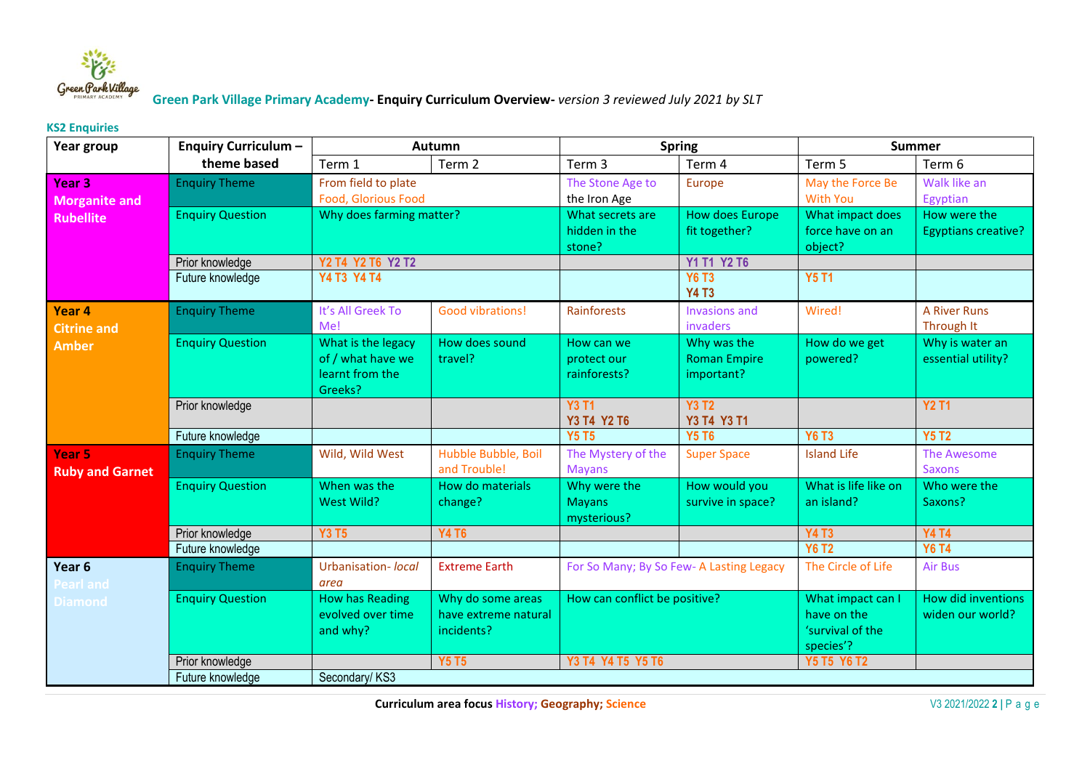

## **Green Park Village Primary Academy- Enquiry Curriculum Overview-** *version 3 reviewed July 2021 by SLT*

## **KS2 Enquiries**

| Year group             | <b>Enquiry Curriculum -</b> | Autumn                     |                      | <b>Spring</b>                           |                              | <b>Summer</b>               |                            |  |
|------------------------|-----------------------------|----------------------------|----------------------|-----------------------------------------|------------------------------|-----------------------------|----------------------------|--|
|                        | theme based                 | Term 1                     | Term 2               | Term 3                                  | Term 4                       | Term 5                      | Term 6                     |  |
| Year 3                 | <b>Enquiry Theme</b>        | From field to plate        |                      | The Stone Age to                        | Europe                       | May the Force Be            | Walk like an               |  |
| <b>Morganite and</b>   |                             | <b>Food, Glorious Food</b> |                      | the Iron Age                            |                              | <b>With You</b>             | Egyptian                   |  |
| <b>Rubellite</b>       | <b>Enquiry Question</b>     | Why does farming matter?   |                      | What secrets are                        | <b>How does Europe</b>       | What impact does            | How were the               |  |
|                        |                             |                            |                      | hidden in the<br>stone?                 | fit together?                | force have on an<br>object? | <b>Egyptians creative?</b> |  |
|                        | Prior knowledge             | Y2 T4 Y2 T6 Y2 T2          |                      |                                         | Y1 T1 Y2 T6                  |                             |                            |  |
|                        | Future knowledge            | Y4 T3 Y4 T4                |                      |                                         | <b>Y6 T3</b><br><b>Y4 T3</b> | <b>Y5 T1</b>                |                            |  |
| Year 4                 | <b>Enquiry Theme</b>        | It's All Greek To          | Good vibrations!     | Rainforests                             | Invasions and                | Wired!                      | <b>A River Runs</b>        |  |
| <b>Citrine and</b>     |                             | Me!                        |                      |                                         | invaders                     |                             | Through It                 |  |
| <b>Amber</b>           | <b>Enquiry Question</b>     | What is the legacy         | How does sound       | How can we                              | Why was the                  | How do we get               | Why is water an            |  |
|                        |                             | of / what have we          | travel?              | protect our                             | <b>Roman Empire</b>          | powered?                    | essential utility?         |  |
|                        |                             | learnt from the            |                      | rainforests?                            | important?                   |                             |                            |  |
|                        |                             | Greeks?                    |                      | <b>Y3 T1</b>                            | <b>Y3 T2</b>                 |                             | <b>Y2 T1</b>               |  |
|                        | Prior knowledge             |                            |                      | Y3 T4 Y2 T6                             | Y3 T4 Y3 T1                  |                             |                            |  |
|                        | Future knowledge            |                            |                      | <b>Y5 T5</b>                            | <b>Y5 T6</b>                 | <b>Y6 T3</b>                | <b>Y5 T2</b>               |  |
| Year 5                 | <b>Enquiry Theme</b>        | Wild, Wild West            | Hubble Bubble, Boil  | The Mystery of the                      | <b>Super Space</b>           | <b>Island Life</b>          | The Awesome                |  |
| <b>Ruby and Garnet</b> |                             |                            | and Trouble!         | <b>Mayans</b>                           |                              |                             | <b>Saxons</b>              |  |
|                        | <b>Enquiry Question</b>     | When was the               | How do materials     | Why were the                            | How would you                | What is life like on        | Who were the               |  |
|                        |                             | West Wild?                 | change?              | <b>Mayans</b><br>mysterious?            | survive in space?            | an island?                  | Saxons?                    |  |
|                        | Prior knowledge             | <b>Y3 T5</b>               | <b>Y4 T6</b>         |                                         |                              | <b>Y4 T3</b>                | <b>Y4 T4</b>               |  |
|                        | Future knowledge            |                            |                      |                                         |                              | <b>Y6 T2</b>                | <b>Y6 T4</b>               |  |
| Year 6                 | <b>Enquiry Theme</b>        | Urbanisation- <i>local</i> | <b>Extreme Earth</b> | For So Many; By So Few-A Lasting Legacy |                              | The Circle of Life          | <b>Air Bus</b>             |  |
| Pearl and              |                             | area                       |                      |                                         |                              |                             |                            |  |
| Diamond                | <b>Enquiry Question</b>     | <b>How has Reading</b>     | Why do some areas    | How can conflict be positive?           |                              | What impact can I           | How did inventions         |  |
|                        |                             | evolved over time          | have extreme natural |                                         |                              | have on the                 | widen our world?           |  |
|                        |                             | and why?                   | incidents?           |                                         |                              | 'survival of the            |                            |  |
|                        |                             |                            |                      |                                         |                              | species'?                   |                            |  |
|                        | Prior knowledge             |                            | <b>Y5 T5</b>         | Y3 T4 Y4 T5 Y5 T6                       |                              | <b>Y5 T5 Y6 T2</b>          |                            |  |
|                        | Future knowledge            | Secondary/KS3              |                      |                                         |                              |                             |                            |  |